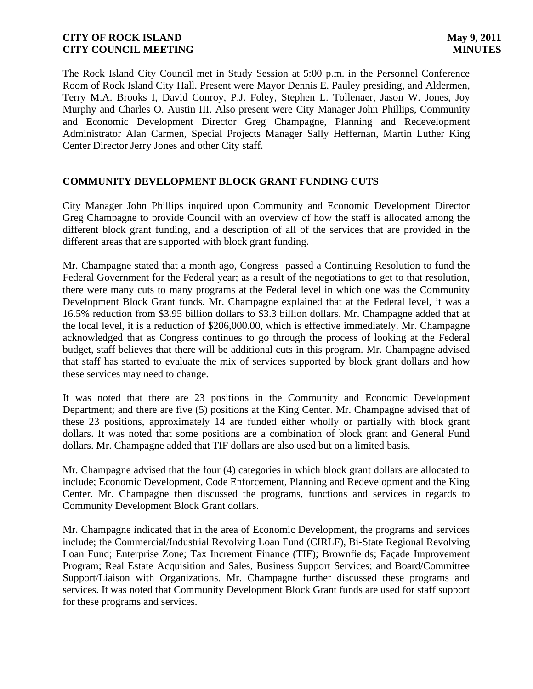The Rock Island City Council met in Study Session at 5:00 p.m. in the Personnel Conference Room of Rock Island City Hall. Present were Mayor Dennis E. Pauley presiding, and Aldermen, Terry M.A. Brooks I, David Conroy, P.J. Foley, Stephen L. Tollenaer, Jason W. Jones, Joy Murphy and Charles O. Austin III. Also present were City Manager John Phillips, Community and Economic Development Director Greg Champagne, Planning and Redevelopment Administrator Alan Carmen, Special Projects Manager Sally Heffernan, Martin Luther King Center Director Jerry Jones and other City staff.

# **COMMUNITY DEVELOPMENT BLOCK GRANT FUNDING CUTS**

City Manager John Phillips inquired upon Community and Economic Development Director Greg Champagne to provide Council with an overview of how the staff is allocated among the different block grant funding, and a description of all of the services that are provided in the different areas that are supported with block grant funding.

Mr. Champagne stated that a month ago, Congress passed a Continuing Resolution to fund the Federal Government for the Federal year; as a result of the negotiations to get to that resolution, there were many cuts to many programs at the Federal level in which one was the Community Development Block Grant funds. Mr. Champagne explained that at the Federal level, it was a 16.5% reduction from \$3.95 billion dollars to \$3.3 billion dollars. Mr. Champagne added that at the local level, it is a reduction of \$206,000.00, which is effective immediately. Mr. Champagne acknowledged that as Congress continues to go through the process of looking at the Federal budget, staff believes that there will be additional cuts in this program. Mr. Champagne advised that staff has started to evaluate the mix of services supported by block grant dollars and how these services may need to change.

It was noted that there are 23 positions in the Community and Economic Development Department; and there are five (5) positions at the King Center. Mr. Champagne advised that of these 23 positions, approximately 14 are funded either wholly or partially with block grant dollars. It was noted that some positions are a combination of block grant and General Fund dollars. Mr. Champagne added that TIF dollars are also used but on a limited basis.

Mr. Champagne advised that the four (4) categories in which block grant dollars are allocated to include; Economic Development, Code Enforcement, Planning and Redevelopment and the King Center. Mr. Champagne then discussed the programs, functions and services in regards to Community Development Block Grant dollars.

Mr. Champagne indicated that in the area of Economic Development, the programs and services include; the Commercial/Industrial Revolving Loan Fund (CIRLF), Bi-State Regional Revolving Loan Fund; Enterprise Zone; Tax Increment Finance (TIF); Brownfields; Façade Improvement Program; Real Estate Acquisition and Sales, Business Support Services; and Board/Committee Support/Liaison with Organizations. Mr. Champagne further discussed these programs and services. It was noted that Community Development Block Grant funds are used for staff support for these programs and services.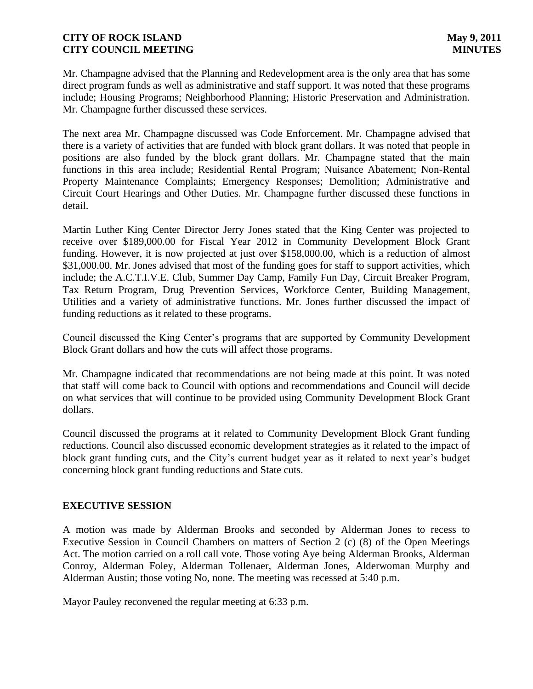Mr. Champagne advised that the Planning and Redevelopment area is the only area that has some direct program funds as well as administrative and staff support. It was noted that these programs include; Housing Programs; Neighborhood Planning; Historic Preservation and Administration. Mr. Champagne further discussed these services.

The next area Mr. Champagne discussed was Code Enforcement. Mr. Champagne advised that there is a variety of activities that are funded with block grant dollars. It was noted that people in positions are also funded by the block grant dollars. Mr. Champagne stated that the main functions in this area include; Residential Rental Program; Nuisance Abatement; Non-Rental Property Maintenance Complaints; Emergency Responses; Demolition; Administrative and Circuit Court Hearings and Other Duties. Mr. Champagne further discussed these functions in detail.

Martin Luther King Center Director Jerry Jones stated that the King Center was projected to receive over \$189,000.00 for Fiscal Year 2012 in Community Development Block Grant funding. However, it is now projected at just over \$158,000.00, which is a reduction of almost \$31,000.00. Mr. Jones advised that most of the funding goes for staff to support activities, which include; the A.C.T.I.V.E. Club, Summer Day Camp, Family Fun Day, Circuit Breaker Program, Tax Return Program, Drug Prevention Services, Workforce Center, Building Management, Utilities and a variety of administrative functions. Mr. Jones further discussed the impact of funding reductions as it related to these programs.

Council discussed the King Center's programs that are supported by Community Development Block Grant dollars and how the cuts will affect those programs.

Mr. Champagne indicated that recommendations are not being made at this point. It was noted that staff will come back to Council with options and recommendations and Council will decide on what services that will continue to be provided using Community Development Block Grant dollars.

Council discussed the programs at it related to Community Development Block Grant funding reductions. Council also discussed economic development strategies as it related to the impact of block grant funding cuts, and the City's current budget year as it related to next year's budget concerning block grant funding reductions and State cuts.

# **EXECUTIVE SESSION**

A motion was made by Alderman Brooks and seconded by Alderman Jones to recess to Executive Session in Council Chambers on matters of Section 2 (c) (8) of the Open Meetings Act. The motion carried on a roll call vote. Those voting Aye being Alderman Brooks, Alderman Conroy, Alderman Foley, Alderman Tollenaer, Alderman Jones, Alderwoman Murphy and Alderman Austin; those voting No, none. The meeting was recessed at 5:40 p.m.

Mayor Pauley reconvened the regular meeting at 6:33 p.m.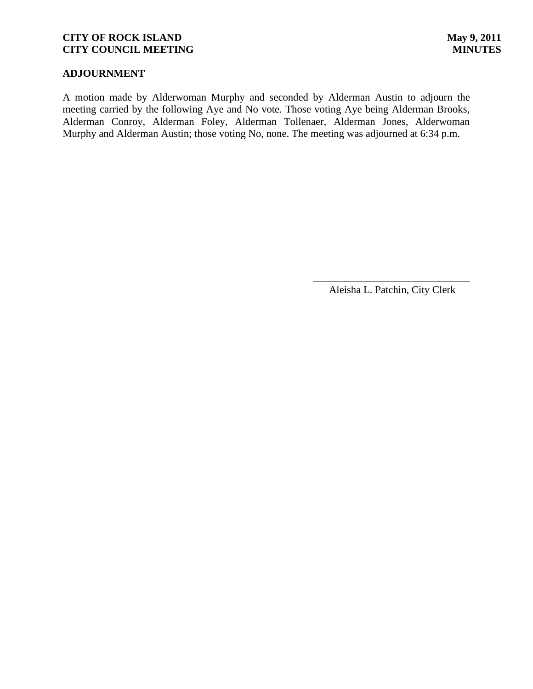# **ADJOURNMENT**

A motion made by Alderwoman Murphy and seconded by Alderman Austin to adjourn the meeting carried by the following Aye and No vote. Those voting Aye being Alderman Brooks, Alderman Conroy, Alderman Foley, Alderman Tollenaer, Alderman Jones, Alderwoman Murphy and Alderman Austin; those voting No, none. The meeting was adjourned at 6:34 p.m.

> \_\_\_\_\_\_\_\_\_\_\_\_\_\_\_\_\_\_\_\_\_\_\_\_\_\_\_\_\_\_ Aleisha L. Patchin, City Clerk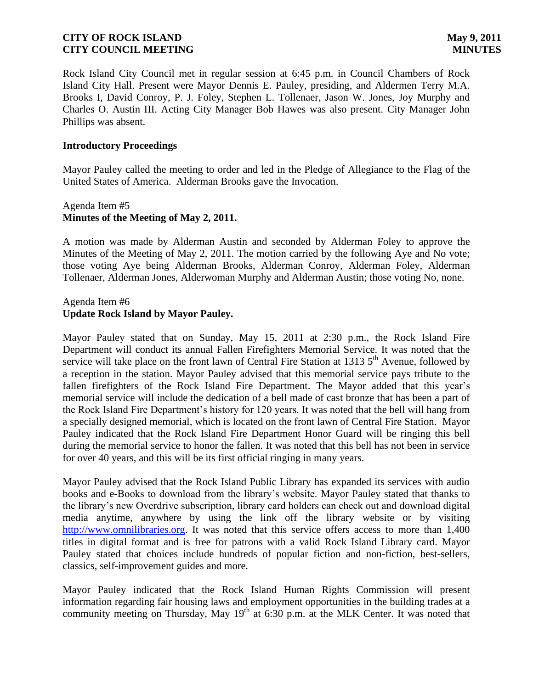Rock Island City Council met in regular session at 6:45 p.m. in Council Chambers of Rock Island City Hall. Present were Mayor Dennis E. Pauley, presiding, and Aldermen Terry M.A. Brooks I, David Conroy, P. J. Foley, Stephen L. Tollenaer, Jason W. Jones, Joy Murphy and Charles O. Austin III. Acting City Manager Bob Hawes was also present. City Manager John Phillips was absent.

#### **Introductory Proceedings**

Mayor Pauley called the meeting to order and led in the Pledge of Allegiance to the Flag of the United States of America. Alderman Brooks gave the Invocation.

# Agenda Item #5 **Minutes of the Meeting of May 2, 2011.**

A motion was made by Alderman Austin and seconded by Alderman Foley to approve the Minutes of the Meeting of May 2, 2011. The motion carried by the following Aye and No vote; those voting Aye being Alderman Brooks, Alderman Conroy, Alderman Foley, Alderman Tollenaer, Alderman Jones, Alderwoman Murphy and Alderman Austin; those voting No, none.

#### Agenda Item #6 **Update Rock Island by Mayor Pauley.**

Mayor Pauley stated that on Sunday, May 15, 2011 at 2:30 p.m., the Rock Island Fire Department will conduct its annual Fallen Firefighters Memorial Service. It was noted that the service will take place on the front lawn of Central Fire Station at 1313 5<sup>th</sup> Avenue, followed by a reception in the station. Mayor Pauley advised that this memorial service pays tribute to the fallen firefighters of the Rock Island Fire Department. The Mayor added that this year's memorial service will include the dedication of a bell made of cast bronze that has been a part of the Rock Island Fire Department's history for 120 years. It was noted that the bell will hang from a specially designed memorial, which is located on the front lawn of Central Fire Station. Mayor Pauley indicated that the Rock Island Fire Department Honor Guard will be ringing this bell during the memorial service to honor the fallen. It was noted that this bell has not been in service for over 40 years, and this will be its first official ringing in many years.

Mayor Pauley advised that the Rock Island Public Library has expanded its services with audio books and e-Books to download from the library's website. Mayor Pauley stated that thanks to the library's new Overdrive subscription, library card holders can check out and download digital media anytime, anywhere by using the link off the library website or by visiting [http://www.omnilibraries.org.](http://www.omnilibraries.org/) It was noted that this service offers access to more than 1,400 titles in digital format and is free for patrons with a valid Rock Island Library card. Mayor Pauley stated that choices include hundreds of popular fiction and non-fiction, best-sellers, classics, self-improvement guides and more.

Mayor Pauley indicated that the Rock Island Human Rights Commission will present information regarding fair housing laws and employment opportunities in the building trades at a community meeting on Thursday, May  $19<sup>th</sup>$  at 6:30 p.m. at the MLK Center. It was noted that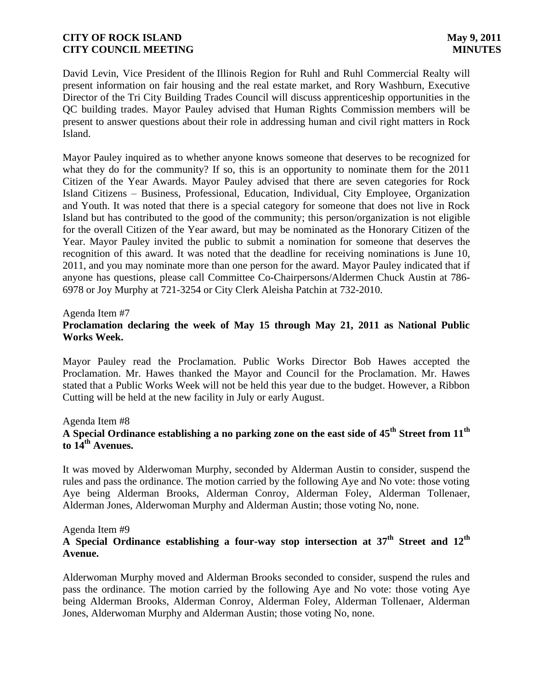David Levin, Vice President of the Illinois Region for Ruhl and Ruhl Commercial Realty will present information on fair housing and the real estate market, and Rory Washburn, Executive Director of the Tri City Building Trades Council will discuss apprenticeship opportunities in the QC building trades. Mayor Pauley advised that Human Rights Commission members will be present to answer questions about their role in addressing human and civil right matters in Rock Island.

Mayor Pauley inquired as to whether anyone knows someone that deserves to be recognized for what they do for the community? If so, this is an opportunity to nominate them for the 2011 Citizen of the Year Awards. Mayor Pauley advised that there are seven categories for Rock Island Citizens – Business, Professional, Education, Individual, City Employee, Organization and Youth. It was noted that there is a special category for someone that does not live in Rock Island but has contributed to the good of the community; this person/organization is not eligible for the overall Citizen of the Year award, but may be nominated as the Honorary Citizen of the Year. Mayor Pauley invited the public to submit a nomination for someone that deserves the recognition of this award. It was noted that the deadline for receiving nominations is June 10, 2011, and you may nominate more than one person for the award. Mayor Pauley indicated that if anyone has questions, please call Committee Co-Chairpersons/Aldermen Chuck Austin at 786- 6978 or Joy Murphy at 721-3254 or City Clerk Aleisha Patchin at 732-2010.

#### Agenda Item #7

# **Proclamation declaring the week of May 15 through May 21, 2011 as National Public Works Week.**

Mayor Pauley read the Proclamation. Public Works Director Bob Hawes accepted the Proclamation. Mr. Hawes thanked the Mayor and Council for the Proclamation. Mr. Hawes stated that a Public Works Week will not be held this year due to the budget. However, a Ribbon Cutting will be held at the new facility in July or early August.

Agenda Item #8

# **A Special Ordinance establishing a no parking zone on the east side of 45th Street from 11th to 14th Avenues.**

It was moved by Alderwoman Murphy, seconded by Alderman Austin to consider, suspend the rules and pass the ordinance. The motion carried by the following Aye and No vote: those voting Aye being Alderman Brooks, Alderman Conroy, Alderman Foley, Alderman Tollenaer, Alderman Jones, Alderwoman Murphy and Alderman Austin; those voting No, none.

#### Agenda Item #9

# **A Special Ordinance establishing a four-way stop intersection at 37th Street and 12th Avenue.**

Alderwoman Murphy moved and Alderman Brooks seconded to consider, suspend the rules and pass the ordinance. The motion carried by the following Aye and No vote: those voting Aye being Alderman Brooks, Alderman Conroy, Alderman Foley, Alderman Tollenaer, Alderman Jones, Alderwoman Murphy and Alderman Austin; those voting No, none.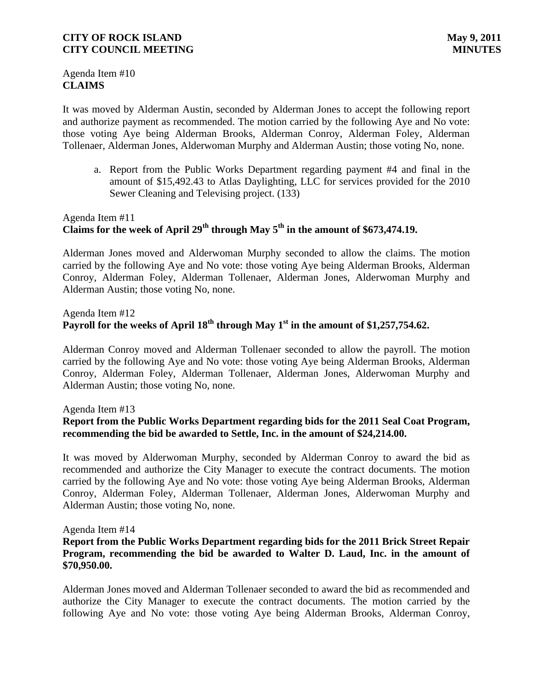Agenda Item #10 **CLAIMS**

It was moved by Alderman Austin, seconded by Alderman Jones to accept the following report and authorize payment as recommended. The motion carried by the following Aye and No vote: those voting Aye being Alderman Brooks, Alderman Conroy, Alderman Foley, Alderman Tollenaer, Alderman Jones, Alderwoman Murphy and Alderman Austin; those voting No, none.

a. Report from the Public Works Department regarding payment #4 and final in the amount of \$15,492.43 to Atlas Daylighting, LLC for services provided for the 2010 Sewer Cleaning and Televising project. (133)

# Agenda Item #11 Claims for the week of April  $29^{th}$  through May  $5^{th}$  in the amount of \$673,474.19.

Alderman Jones moved and Alderwoman Murphy seconded to allow the claims. The motion carried by the following Aye and No vote: those voting Aye being Alderman Brooks, Alderman Conroy, Alderman Foley, Alderman Tollenaer, Alderman Jones, Alderwoman Murphy and Alderman Austin; those voting No, none.

# Agenda Item #12 Payroll for the weeks of April 18<sup>th</sup> through May 1<sup>st</sup> in the amount of \$1,257,754.62.

Alderman Conroy moved and Alderman Tollenaer seconded to allow the payroll. The motion carried by the following Aye and No vote: those voting Aye being Alderman Brooks, Alderman Conroy, Alderman Foley, Alderman Tollenaer, Alderman Jones, Alderwoman Murphy and Alderman Austin; those voting No, none.

#### Agenda Item #13

# **Report from the Public Works Department regarding bids for the 2011 Seal Coat Program, recommending the bid be awarded to Settle, Inc. in the amount of \$24,214.00.**

It was moved by Alderwoman Murphy, seconded by Alderman Conroy to award the bid as recommended and authorize the City Manager to execute the contract documents. The motion carried by the following Aye and No vote: those voting Aye being Alderman Brooks, Alderman Conroy, Alderman Foley, Alderman Tollenaer, Alderman Jones, Alderwoman Murphy and Alderman Austin; those voting No, none.

#### Agenda Item #14

# **Report from the Public Works Department regarding bids for the 2011 Brick Street Repair Program, recommending the bid be awarded to Walter D. Laud, Inc. in the amount of \$70,950.00.**

Alderman Jones moved and Alderman Tollenaer seconded to award the bid as recommended and authorize the City Manager to execute the contract documents. The motion carried by the following Aye and No vote: those voting Aye being Alderman Brooks, Alderman Conroy,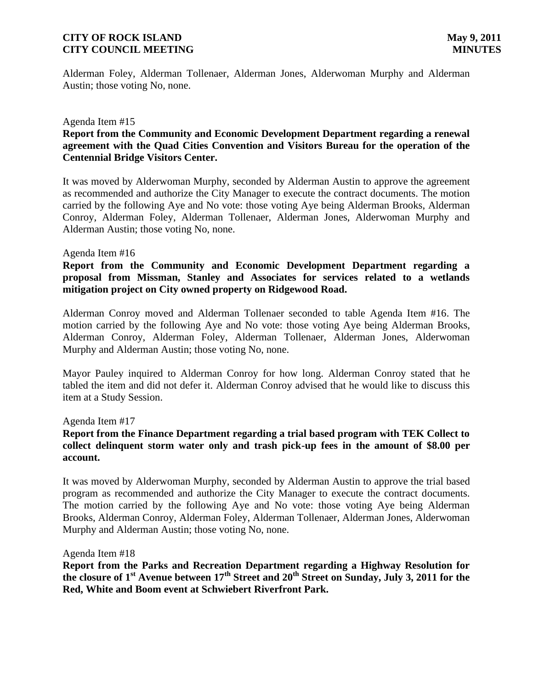Alderman Foley, Alderman Tollenaer, Alderman Jones, Alderwoman Murphy and Alderman Austin; those voting No, none.

#### Agenda Item #15

# **Report from the Community and Economic Development Department regarding a renewal agreement with the Quad Cities Convention and Visitors Bureau for the operation of the Centennial Bridge Visitors Center.**

It was moved by Alderwoman Murphy, seconded by Alderman Austin to approve the agreement as recommended and authorize the City Manager to execute the contract documents. The motion carried by the following Aye and No vote: those voting Aye being Alderman Brooks, Alderman Conroy, Alderman Foley, Alderman Tollenaer, Alderman Jones, Alderwoman Murphy and Alderman Austin; those voting No, none.

#### Agenda Item #16

**Report from the Community and Economic Development Department regarding a proposal from Missman, Stanley and Associates for services related to a wetlands mitigation project on City owned property on Ridgewood Road.**

Alderman Conroy moved and Alderman Tollenaer seconded to table Agenda Item #16. The motion carried by the following Aye and No vote: those voting Aye being Alderman Brooks, Alderman Conroy, Alderman Foley, Alderman Tollenaer, Alderman Jones, Alderwoman Murphy and Alderman Austin; those voting No, none.

Mayor Pauley inquired to Alderman Conroy for how long. Alderman Conroy stated that he tabled the item and did not defer it. Alderman Conroy advised that he would like to discuss this item at a Study Session.

#### Agenda Item #17

### **Report from the Finance Department regarding a trial based program with TEK Collect to collect delinquent storm water only and trash pick-up fees in the amount of \$8.00 per account.**

It was moved by Alderwoman Murphy, seconded by Alderman Austin to approve the trial based program as recommended and authorize the City Manager to execute the contract documents. The motion carried by the following Aye and No vote: those voting Aye being Alderman Brooks, Alderman Conroy, Alderman Foley, Alderman Tollenaer, Alderman Jones, Alderwoman Murphy and Alderman Austin; those voting No, none.

#### Agenda Item #18

**Report from the Parks and Recreation Department regarding a Highway Resolution for the closure of 1st Avenue between 17th Street and 20th Street on Sunday, July 3, 2011 for the Red, White and Boom event at Schwiebert Riverfront Park.**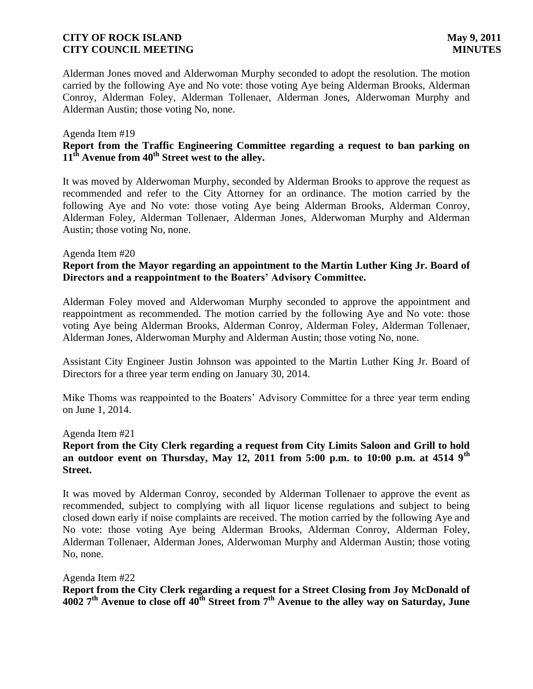Alderman Jones moved and Alderwoman Murphy seconded to adopt the resolution. The motion carried by the following Aye and No vote: those voting Aye being Alderman Brooks, Alderman Conroy, Alderman Foley, Alderman Tollenaer, Alderman Jones, Alderwoman Murphy and Alderman Austin; those voting No, none.

#### Agenda Item #19 **Report from the Traffic Engineering Committee regarding a request to ban parking on 11th Avenue from 40th Street west to the alley.**

It was moved by Alderwoman Murphy, seconded by Alderman Brooks to approve the request as recommended and refer to the City Attorney for an ordinance. The motion carried by the following Aye and No vote: those voting Aye being Alderman Brooks, Alderman Conroy, Alderman Foley, Alderman Tollenaer, Alderman Jones, Alderwoman Murphy and Alderman Austin; those voting No, none.

#### Agenda Item #20

# **Report from the Mayor regarding an appointment to the Martin Luther King Jr. Board of Directors and a reappointment to the Boaters' Advisory Committee.**

Alderman Foley moved and Alderwoman Murphy seconded to approve the appointment and reappointment as recommended. The motion carried by the following Aye and No vote: those voting Aye being Alderman Brooks, Alderman Conroy, Alderman Foley, Alderman Tollenaer, Alderman Jones, Alderwoman Murphy and Alderman Austin; those voting No, none.

Assistant City Engineer Justin Johnson was appointed to the Martin Luther King Jr. Board of Directors for a three year term ending on January 30, 2014.

Mike Thoms was reappointed to the Boaters' Advisory Committee for a three year term ending on June 1, 2014.

#### Agenda Item #21

## **Report from the City Clerk regarding a request from City Limits Saloon and Grill to hold an outdoor event on Thursday, May 12, 2011 from 5:00 p.m. to 10:00 p.m. at 4514 9th Street.**

It was moved by Alderman Conroy, seconded by Alderman Tollenaer to approve the event as recommended, subject to complying with all liquor license regulations and subject to being closed down early if noise complaints are received. The motion carried by the following Aye and No vote: those voting Aye being Alderman Brooks, Alderman Conroy, Alderman Foley, Alderman Tollenaer, Alderman Jones, Alderwoman Murphy and Alderman Austin; those voting No, none.

Agenda Item #22 **Report from the City Clerk regarding a request for a Street Closing from Joy McDonald of 4002 7th Avenue to close off 40th Street from 7th Avenue to the alley way on Saturday, June**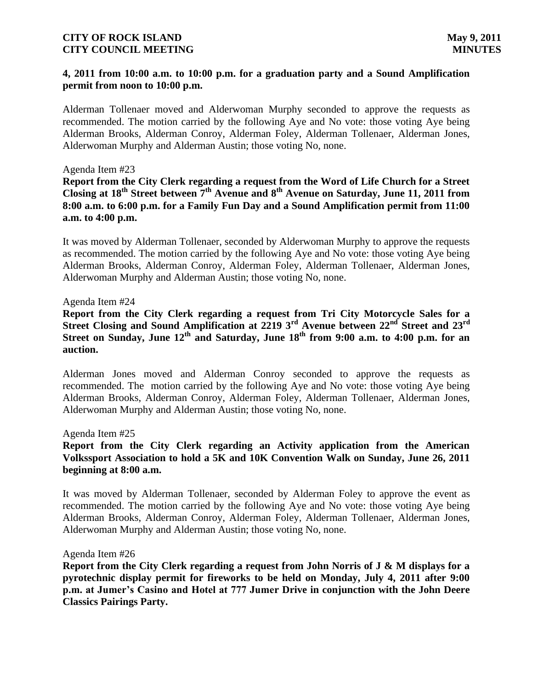#### **4, 2011 from 10:00 a.m. to 10:00 p.m. for a graduation party and a Sound Amplification permit from noon to 10:00 p.m.**

Alderman Tollenaer moved and Alderwoman Murphy seconded to approve the requests as recommended. The motion carried by the following Aye and No vote: those voting Aye being Alderman Brooks, Alderman Conroy, Alderman Foley, Alderman Tollenaer, Alderman Jones, Alderwoman Murphy and Alderman Austin; those voting No, none.

#### Agenda Item #23

**Report from the City Clerk regarding a request from the Word of Life Church for a Street Closing at 18th Street between 7th Avenue and 8th Avenue on Saturday, June 11, 2011 from 8:00 a.m. to 6:00 p.m. for a Family Fun Day and a Sound Amplification permit from 11:00 a.m. to 4:00 p.m.** 

It was moved by Alderman Tollenaer, seconded by Alderwoman Murphy to approve the requests as recommended. The motion carried by the following Aye and No vote: those voting Aye being Alderman Brooks, Alderman Conroy, Alderman Foley, Alderman Tollenaer, Alderman Jones, Alderwoman Murphy and Alderman Austin; those voting No, none.

#### Agenda Item #24

**Report from the City Clerk regarding a request from Tri City Motorcycle Sales for a Street Closing and Sound Amplification at 2219 3rd Avenue between 22nd Street and 23rd Street on Sunday, June 12th and Saturday, June 18th from 9:00 a.m. to 4:00 p.m. for an auction.**

Alderman Jones moved and Alderman Conroy seconded to approve the requests as recommended. The motion carried by the following Aye and No vote: those voting Aye being Alderman Brooks, Alderman Conroy, Alderman Foley, Alderman Tollenaer, Alderman Jones, Alderwoman Murphy and Alderman Austin; those voting No, none.

#### Agenda Item #25

# **Report from the City Clerk regarding an Activity application from the American Volkssport Association to hold a 5K and 10K Convention Walk on Sunday, June 26, 2011 beginning at 8:00 a.m.**

It was moved by Alderman Tollenaer, seconded by Alderman Foley to approve the event as recommended. The motion carried by the following Aye and No vote: those voting Aye being Alderman Brooks, Alderman Conroy, Alderman Foley, Alderman Tollenaer, Alderman Jones, Alderwoman Murphy and Alderman Austin; those voting No, none.

#### Agenda Item #26

**Report from the City Clerk regarding a request from John Norris of J & M displays for a pyrotechnic display permit for fireworks to be held on Monday, July 4, 2011 after 9:00 p.m. at Jumer's Casino and Hotel at 777 Jumer Drive in conjunction with the John Deere Classics Pairings Party.**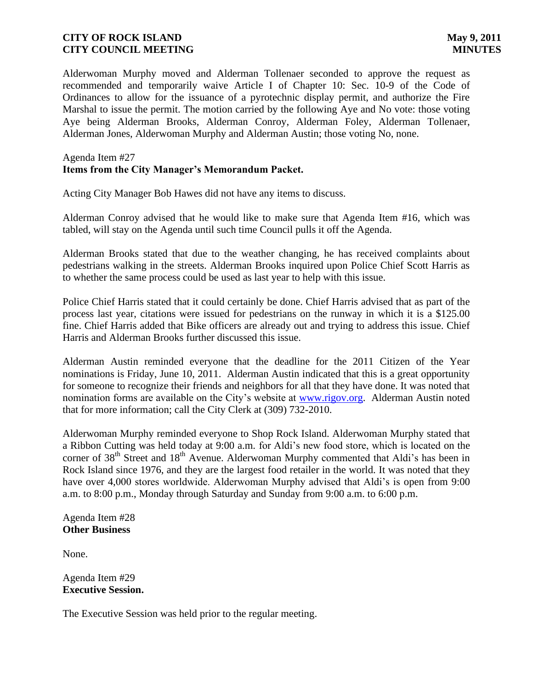Alderwoman Murphy moved and Alderman Tollenaer seconded to approve the request as recommended and temporarily waive Article I of Chapter 10: Sec. 10-9 of the Code of Ordinances to allow for the issuance of a pyrotechnic display permit, and authorize the Fire Marshal to issue the permit. The motion carried by the following Aye and No vote: those voting Aye being Alderman Brooks, Alderman Conroy, Alderman Foley, Alderman Tollenaer, Alderman Jones, Alderwoman Murphy and Alderman Austin; those voting No, none.

# Agenda Item #27 **Items from the City Manager's Memorandum Packet.**

Acting City Manager Bob Hawes did not have any items to discuss.

Alderman Conroy advised that he would like to make sure that Agenda Item #16, which was tabled, will stay on the Agenda until such time Council pulls it off the Agenda.

Alderman Brooks stated that due to the weather changing, he has received complaints about pedestrians walking in the streets. Alderman Brooks inquired upon Police Chief Scott Harris as to whether the same process could be used as last year to help with this issue.

Police Chief Harris stated that it could certainly be done. Chief Harris advised that as part of the process last year, citations were issued for pedestrians on the runway in which it is a \$125.00 fine. Chief Harris added that Bike officers are already out and trying to address this issue. Chief Harris and Alderman Brooks further discussed this issue.

Alderman Austin reminded everyone that the deadline for the 2011 Citizen of the Year nominations is Friday, June 10, 2011. Alderman Austin indicated that this is a great opportunity for someone to recognize their friends and neighbors for all that they have done. It was noted that nomination forms are available on the City's website at [www.rigov.org.](http://www.rigov.org/) Alderman Austin noted that for more information; call the City Clerk at (309) 732-2010.

Alderwoman Murphy reminded everyone to Shop Rock Island. Alderwoman Murphy stated that a Ribbon Cutting was held today at 9:00 a.m. for Aldi's new food store, which is located on the corner of 38<sup>th</sup> Street and 18<sup>th</sup> Avenue. Alderwoman Murphy commented that Aldi's has been in Rock Island since 1976, and they are the largest food retailer in the world. It was noted that they have over 4,000 stores worldwide. Alderwoman Murphy advised that Aldi's is open from 9:00 a.m. to 8:00 p.m., Monday through Saturday and Sunday from 9:00 a.m. to 6:00 p.m.

Agenda Item #28 **Other Business**

None.

Agenda Item #29 **Executive Session.**

The Executive Session was held prior to the regular meeting.